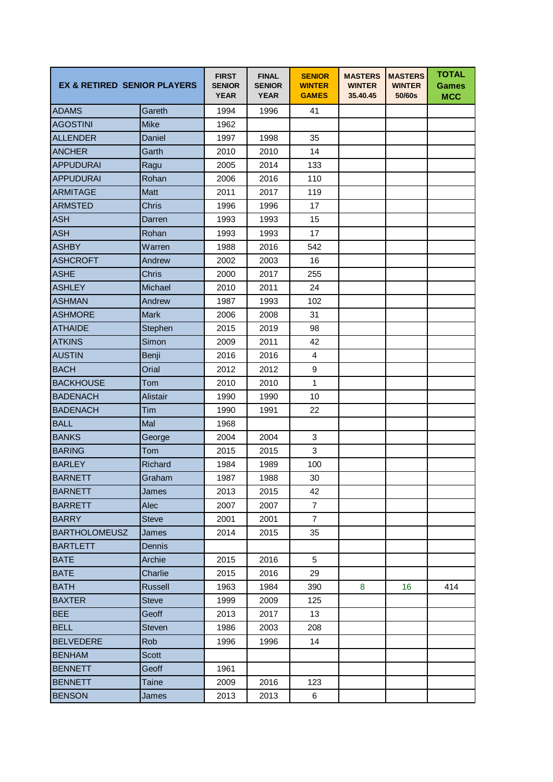| <b>EX &amp; RETIRED SENIOR PLAYERS</b> |                 | <b>FIRST</b><br><b>SENIOR</b><br><b>YEAR</b> | <b>FINAL</b><br><b>SENIOR</b><br><b>YEAR</b> | <b>SENIOR</b><br><b>WINTER</b><br><b>GAMES</b> | <b>MASTERS</b><br><b>WINTER</b><br>35.40.45 | <b>MASTERS</b><br><b>WINTER</b><br>50/60s | <b>TOTAL</b><br><b>Games</b><br><b>MCC</b> |
|----------------------------------------|-----------------|----------------------------------------------|----------------------------------------------|------------------------------------------------|---------------------------------------------|-------------------------------------------|--------------------------------------------|
| <b>ADAMS</b>                           | Gareth          | 1994                                         | 1996                                         | 41                                             |                                             |                                           |                                            |
| <b>AGOSTINI</b>                        | <b>Mike</b>     | 1962                                         |                                              |                                                |                                             |                                           |                                            |
| <b>ALLENDER</b>                        | Daniel          | 1997                                         | 1998                                         | 35                                             |                                             |                                           |                                            |
| <b>ANCHER</b>                          | Garth           | 2010                                         | 2010                                         | 14                                             |                                             |                                           |                                            |
| <b>APPUDURAI</b>                       | Ragu            | 2005                                         | 2014                                         | 133                                            |                                             |                                           |                                            |
| <b>APPUDURAI</b>                       | Rohan           | 2006                                         | 2016                                         | 110                                            |                                             |                                           |                                            |
| <b>ARMITAGE</b>                        | Matt            | 2011                                         | 2017                                         | 119                                            |                                             |                                           |                                            |
| <b>ARMSTED</b>                         | <b>Chris</b>    | 1996                                         | 1996                                         | 17                                             |                                             |                                           |                                            |
| <b>ASH</b>                             | Darren          | 1993                                         | 1993                                         | 15                                             |                                             |                                           |                                            |
| <b>ASH</b>                             | Rohan           | 1993                                         | 1993                                         | 17                                             |                                             |                                           |                                            |
| <b>ASHBY</b>                           | Warren          | 1988                                         | 2016                                         | 542                                            |                                             |                                           |                                            |
| <b>ASHCROFT</b>                        | Andrew          | 2002                                         | 2003                                         | 16                                             |                                             |                                           |                                            |
| <b>ASHE</b>                            | <b>Chris</b>    | 2000                                         | 2017                                         | 255                                            |                                             |                                           |                                            |
| <b>ASHLEY</b>                          | Michael         | 2010                                         | 2011                                         | 24                                             |                                             |                                           |                                            |
| <b>ASHMAN</b>                          | Andrew          | 1987                                         | 1993                                         | 102                                            |                                             |                                           |                                            |
| <b>ASHMORE</b>                         | <b>Mark</b>     | 2006                                         | 2008                                         | 31                                             |                                             |                                           |                                            |
| <b>ATHAIDE</b>                         | Stephen         | 2015                                         | 2019                                         | 98                                             |                                             |                                           |                                            |
| <b>ATKINS</b>                          | Simon           | 2009                                         | 2011                                         | 42                                             |                                             |                                           |                                            |
| <b>AUSTIN</b>                          | Benji           | 2016                                         | 2016                                         | $\overline{4}$                                 |                                             |                                           |                                            |
| <b>BACH</b>                            | Orial           | 2012                                         | 2012                                         | 9                                              |                                             |                                           |                                            |
| <b>BACKHOUSE</b>                       | Tom             | 2010                                         | 2010                                         | $\mathbf{1}$                                   |                                             |                                           |                                            |
| <b>BADENACH</b>                        | <b>Alistair</b> | 1990                                         | 1990                                         | 10                                             |                                             |                                           |                                            |
| <b>BADENACH</b>                        | Tim             | 1990                                         | 1991                                         | 22                                             |                                             |                                           |                                            |
| <b>BALL</b>                            | Mal             | 1968                                         |                                              |                                                |                                             |                                           |                                            |
| <b>BANKS</b>                           | George          | 2004                                         | 2004                                         | 3                                              |                                             |                                           |                                            |
| <b>BARING</b>                          | Tom             | 2015                                         | 2015                                         | 3                                              |                                             |                                           |                                            |
| <b>BARLEY</b>                          | Richard         | 1984                                         | 1989                                         | 100                                            |                                             |                                           |                                            |
| <b>BARNETT</b>                         | Graham          | 1987                                         | 1988                                         | 30                                             |                                             |                                           |                                            |
| <b>BARNETT</b>                         | James           | 2013                                         | 2015                                         | 42                                             |                                             |                                           |                                            |
| <b>BARRETT</b>                         | Alec            | 2007                                         | 2007                                         | $\overline{7}$                                 |                                             |                                           |                                            |
| <b>BARRY</b>                           | <b>Steve</b>    | 2001                                         | 2001                                         | $\overline{7}$                                 |                                             |                                           |                                            |
| <b>BARTHOLOMEUSZ</b>                   | James           | 2014                                         | 2015                                         | 35                                             |                                             |                                           |                                            |
| <b>BARTLETT</b>                        | Dennis          |                                              |                                              |                                                |                                             |                                           |                                            |
| <b>BATE</b>                            | Archie          | 2015                                         | 2016                                         | 5                                              |                                             |                                           |                                            |
| <b>BATE</b>                            | Charlie         | 2015                                         | 2016                                         | 29                                             |                                             |                                           |                                            |
| <b>BATH</b>                            | <b>Russell</b>  | 1963                                         | 1984                                         | 390                                            | 8                                           | 16                                        | 414                                        |
| <b>BAXTER</b>                          | <b>Steve</b>    | 1999                                         | 2009                                         | 125                                            |                                             |                                           |                                            |
| <b>BEE</b>                             | Geoff           | 2013                                         | 2017                                         | 13                                             |                                             |                                           |                                            |
| <b>BELL</b>                            | <b>Steven</b>   | 1986                                         | 2003                                         | 208                                            |                                             |                                           |                                            |
| <b>BELVEDERE</b>                       | <b>Rob</b>      | 1996                                         | 1996                                         | 14                                             |                                             |                                           |                                            |
| <b>BENHAM</b>                          | <b>Scott</b>    |                                              |                                              |                                                |                                             |                                           |                                            |
| <b>BENNETT</b>                         | Geoff           | 1961                                         |                                              |                                                |                                             |                                           |                                            |
| <b>BENNETT</b>                         | Taine           | 2009                                         | 2016                                         | 123                                            |                                             |                                           |                                            |
| <b>BENSON</b>                          | James           | 2013                                         | 2013                                         | 6                                              |                                             |                                           |                                            |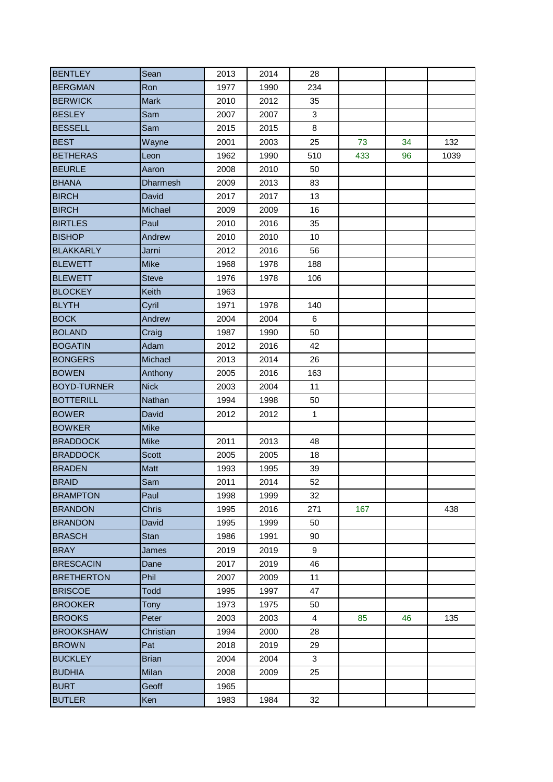| <b>BENTLEY</b>     | Sean            | 2013 | 2014 | 28           |     |    |      |
|--------------------|-----------------|------|------|--------------|-----|----|------|
| <b>BERGMAN</b>     | Ron             | 1977 | 1990 | 234          |     |    |      |
| <b>BERWICK</b>     | <b>Mark</b>     | 2010 | 2012 | 35           |     |    |      |
| <b>BESLEY</b>      | Sam             | 2007 | 2007 | 3            |     |    |      |
| <b>BESSELL</b>     | Sam             | 2015 | 2015 | 8            |     |    |      |
| <b>BEST</b>        | Wayne           | 2001 | 2003 | 25           | 73  | 34 | 132  |
| <b>BETHERAS</b>    | Leon            | 1962 | 1990 | 510          | 433 | 96 | 1039 |
| <b>BEURLE</b>      | Aaron           | 2008 | 2010 | 50           |     |    |      |
| <b>BHANA</b>       | <b>Dharmesh</b> | 2009 | 2013 | 83           |     |    |      |
| <b>BIRCH</b>       | David           | 2017 | 2017 | 13           |     |    |      |
| <b>BIRCH</b>       | Michael         | 2009 | 2009 | 16           |     |    |      |
| <b>BIRTLES</b>     | Paul            | 2010 | 2016 | 35           |     |    |      |
| <b>BISHOP</b>      | Andrew          | 2010 | 2010 | 10           |     |    |      |
| <b>BLAKKARLY</b>   | Jarni           | 2012 | 2016 | 56           |     |    |      |
| <b>BLEWETT</b>     | <b>Mike</b>     | 1968 | 1978 | 188          |     |    |      |
| <b>BLEWETT</b>     | <b>Steve</b>    | 1976 | 1978 | 106          |     |    |      |
| <b>BLOCKEY</b>     | Keith           | 1963 |      |              |     |    |      |
| <b>BLYTH</b>       | Cyril           | 1971 | 1978 | 140          |     |    |      |
| <b>BOCK</b>        | Andrew          | 2004 | 2004 | 6            |     |    |      |
| <b>BOLAND</b>      | Craig           | 1987 | 1990 | 50           |     |    |      |
| <b>BOGATIN</b>     | Adam            | 2012 | 2016 | 42           |     |    |      |
| <b>BONGERS</b>     | Michael         | 2013 | 2014 | 26           |     |    |      |
| <b>BOWEN</b>       | Anthony         | 2005 | 2016 | 163          |     |    |      |
| <b>BOYD-TURNER</b> | <b>Nick</b>     | 2003 | 2004 | 11           |     |    |      |
| <b>BOTTERILL</b>   | Nathan          | 1994 | 1998 | 50           |     |    |      |
| <b>BOWER</b>       | David           | 2012 | 2012 | $\mathbf{1}$ |     |    |      |
| <b>BOWKER</b>      | <b>Mike</b>     |      |      |              |     |    |      |
| <b>BRADDOCK</b>    | <b>Mike</b>     | 2011 | 2013 | 48           |     |    |      |
| <b>BRADDOCK</b>    | <b>Scott</b>    | 2005 | 2005 | 18           |     |    |      |
| <b>BRADEN</b>      | Matt            | 1993 | 1995 | 39           |     |    |      |
| <b>BRAID</b>       | Sam             | 2011 | 2014 | 52           |     |    |      |
| <b>BRAMPTON</b>    | Paul            | 1998 | 1999 | 32           |     |    |      |
| <b>BRANDON</b>     | <b>Chris</b>    | 1995 | 2016 | 271          | 167 |    | 438  |
| <b>BRANDON</b>     | David           | 1995 | 1999 | 50           |     |    |      |
| <b>BRASCH</b>      | <b>Stan</b>     | 1986 | 1991 | 90           |     |    |      |
| <b>BRAY</b>        | James           | 2019 | 2019 | 9            |     |    |      |
| <b>BRESCACIN</b>   | Dane            | 2017 | 2019 | 46           |     |    |      |
| <b>BRETHERTON</b>  | Phil            | 2007 | 2009 | 11           |     |    |      |
| <b>BRISCOE</b>     | <b>Todd</b>     | 1995 | 1997 | 47           |     |    |      |
| <b>BROOKER</b>     | <b>Tony</b>     | 1973 | 1975 | 50           |     |    |      |
| <b>BROOKS</b>      | Peter           | 2003 | 2003 | 4            | 85  | 46 | 135  |
| <b>BROOKSHAW</b>   | Christian       | 1994 | 2000 | 28           |     |    |      |
| <b>BROWN</b>       | Pat             | 2018 | 2019 | 29           |     |    |      |
| <b>BUCKLEY</b>     | <b>Brian</b>    | 2004 | 2004 | 3            |     |    |      |
| <b>BUDHIA</b>      | Milan           | 2008 | 2009 | 25           |     |    |      |
| <b>BURT</b>        | Geoff           | 1965 |      |              |     |    |      |
| <b>BUTLER</b>      | Ken             | 1983 | 1984 | 32           |     |    |      |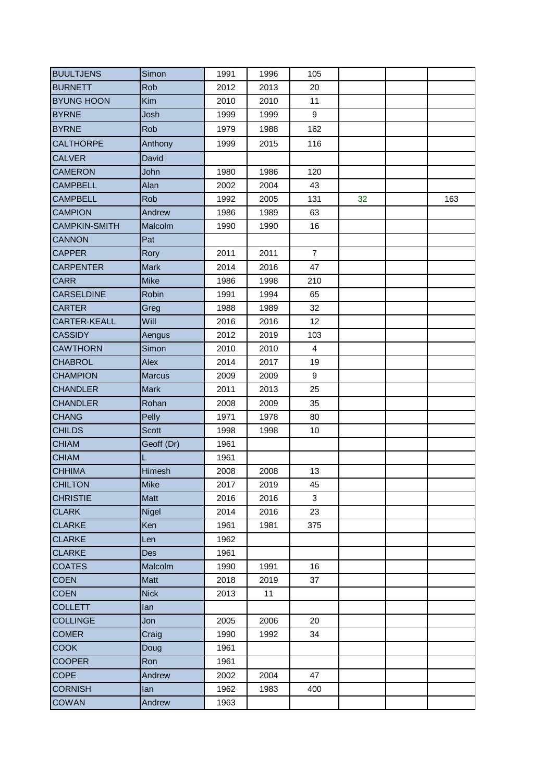| <b>BUULTJENS</b>     | Simon         | 1991 | 1996 | 105            |    |     |
|----------------------|---------------|------|------|----------------|----|-----|
| <b>BURNETT</b>       | Rob           | 2012 | 2013 | 20             |    |     |
| <b>BYUNG HOON</b>    | Kim           | 2010 | 2010 | 11             |    |     |
| <b>BYRNE</b>         | Josh          | 1999 | 1999 | 9              |    |     |
| <b>BYRNE</b>         | Rob           | 1979 | 1988 | 162            |    |     |
| <b>CALTHORPE</b>     | Anthony       | 1999 | 2015 | 116            |    |     |
| <b>CALVER</b>        | David         |      |      |                |    |     |
| <b>CAMERON</b>       | John          | 1980 | 1986 | 120            |    |     |
| <b>CAMPBELL</b>      | Alan          | 2002 | 2004 | 43             |    |     |
| <b>CAMPBELL</b>      | Rob           | 1992 | 2005 | 131            | 32 | 163 |
| <b>CAMPION</b>       | Andrew        | 1986 | 1989 | 63             |    |     |
| <b>CAMPKIN-SMITH</b> | Malcolm       | 1990 | 1990 | 16             |    |     |
| <b>CANNON</b>        | Pat           |      |      |                |    |     |
| <b>CAPPER</b>        | Rory          | 2011 | 2011 | $\overline{7}$ |    |     |
| <b>CARPENTER</b>     | <b>Mark</b>   | 2014 | 2016 | 47             |    |     |
| <b>CARR</b>          | <b>Mike</b>   | 1986 | 1998 | 210            |    |     |
| <b>CARSELDINE</b>    | Robin         | 1991 | 1994 | 65             |    |     |
| <b>CARTER</b>        | Greg          | 1988 | 1989 | 32             |    |     |
| <b>CARTER-KEALL</b>  | Will          | 2016 | 2016 | 12             |    |     |
| <b>CASSIDY</b>       | Aengus        | 2012 | 2019 | 103            |    |     |
| <b>CAWTHORN</b>      | Simon         | 2010 | 2010 | $\overline{4}$ |    |     |
| <b>CHABROL</b>       | Alex          | 2014 | 2017 | 19             |    |     |
| <b>CHAMPION</b>      | <b>Marcus</b> | 2009 | 2009 | 9              |    |     |
| <b>CHANDLER</b>      | <b>Mark</b>   | 2011 | 2013 | 25             |    |     |
| <b>CHANDLER</b>      | Rohan         | 2008 | 2009 | 35             |    |     |
| <b>CHANG</b>         | Pelly         | 1971 | 1978 | 80             |    |     |
| <b>CHILDS</b>        | Scott         | 1998 | 1998 | 10             |    |     |
| <b>CHIAM</b>         | Geoff (Dr)    | 1961 |      |                |    |     |
| <b>CHIAM</b>         | L             | 1961 |      |                |    |     |
| <b>CHHIMA</b>        | Himesh        | 2008 | 2008 | 13             |    |     |
| <b>CHILTON</b>       | Mike          | 2017 | 2019 | 45             |    |     |
| <b>CHRISTIE</b>      | Matt          | 2016 | 2016 | 3              |    |     |
| <b>CLARK</b>         | <b>Nigel</b>  | 2014 | 2016 | 23             |    |     |
| <b>CLARKE</b>        | Ken           | 1961 | 1981 | 375            |    |     |
| <b>CLARKE</b>        | Len           | 1962 |      |                |    |     |
| <b>CLARKE</b>        | <b>Des</b>    | 1961 |      |                |    |     |
| <b>COATES</b>        | Malcolm       | 1990 | 1991 | 16             |    |     |
| <b>COEN</b>          | Matt          | 2018 | 2019 | 37             |    |     |
| <b>COEN</b>          | <b>Nick</b>   | 2013 | 11   |                |    |     |
| <b>COLLETT</b>       | lan           |      |      |                |    |     |
| <b>COLLINGE</b>      | Jon           | 2005 | 2006 | 20             |    |     |
| <b>COMER</b>         | Craig         | 1990 | 1992 | 34             |    |     |
| <b>COOK</b>          | Doug          | 1961 |      |                |    |     |
| <b>COOPER</b>        | Ron           | 1961 |      |                |    |     |
| <b>COPE</b>          | Andrew        | 2002 | 2004 | 47             |    |     |
| <b>CORNISH</b>       | lan           | 1962 | 1983 | 400            |    |     |
| <b>COWAN</b>         | Andrew        | 1963 |      |                |    |     |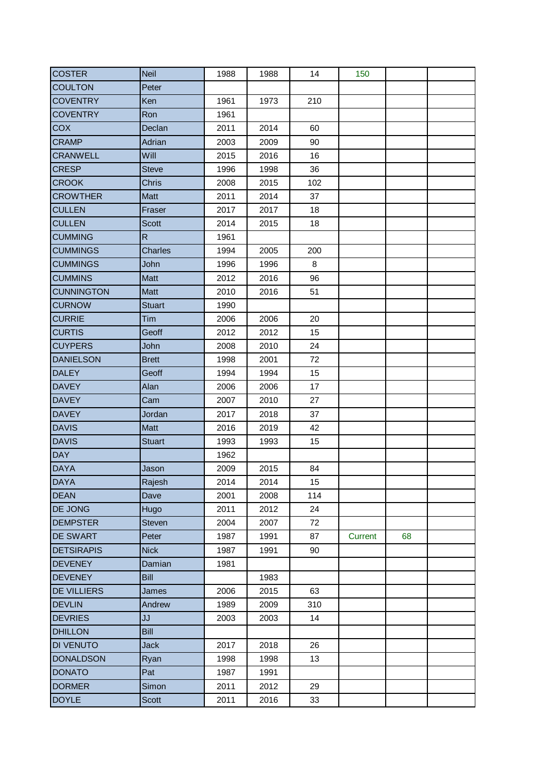| <b>COSTER</b>      | <b>Neil</b>        | 1988 | 1988 | 14  | 150     |    |  |
|--------------------|--------------------|------|------|-----|---------|----|--|
| <b>COULTON</b>     | Peter              |      |      |     |         |    |  |
| <b>COVENTRY</b>    | Ken                | 1961 | 1973 | 210 |         |    |  |
| <b>COVENTRY</b>    | Ron                | 1961 |      |     |         |    |  |
| <b>COX</b>         | Declan             | 2011 | 2014 | 60  |         |    |  |
| <b>CRAMP</b>       | Adrian             | 2003 | 2009 | 90  |         |    |  |
| <b>CRANWELL</b>    | <b>Will</b>        | 2015 | 2016 | 16  |         |    |  |
| <b>CRESP</b>       | <b>Steve</b>       | 1996 | 1998 | 36  |         |    |  |
| <b>CROOK</b>       | Chris              | 2008 | 2015 | 102 |         |    |  |
| <b>CROWTHER</b>    | Matt               | 2011 | 2014 | 37  |         |    |  |
| <b>CULLEN</b>      | Fraser             | 2017 | 2017 | 18  |         |    |  |
| <b>CULLEN</b>      | <b>Scott</b>       | 2014 | 2015 | 18  |         |    |  |
| <b>CUMMING</b>     | $\mathsf{R}% _{T}$ | 1961 |      |     |         |    |  |
| <b>CUMMINGS</b>    | <b>Charles</b>     | 1994 | 2005 | 200 |         |    |  |
| <b>CUMMINGS</b>    | John               | 1996 | 1996 | 8   |         |    |  |
| <b>CUMMINS</b>     | Matt               | 2012 | 2016 | 96  |         |    |  |
| <b>CUNNINGTON</b>  | <b>Matt</b>        | 2010 | 2016 | 51  |         |    |  |
| <b>CURNOW</b>      | <b>Stuart</b>      | 1990 |      |     |         |    |  |
| <b>CURRIE</b>      | Tim                | 2006 | 2006 | 20  |         |    |  |
| <b>CURTIS</b>      | Geoff              | 2012 | 2012 | 15  |         |    |  |
| <b>CUYPERS</b>     | John               | 2008 | 2010 | 24  |         |    |  |
| <b>DANIELSON</b>   | <b>Brett</b>       | 1998 | 2001 | 72  |         |    |  |
| <b>DALEY</b>       | Geoff              | 1994 | 1994 | 15  |         |    |  |
| <b>DAVEY</b>       | Alan               | 2006 | 2006 | 17  |         |    |  |
| <b>DAVEY</b>       | Cam                | 2007 | 2010 | 27  |         |    |  |
| <b>DAVEY</b>       | Jordan             | 2017 | 2018 | 37  |         |    |  |
| <b>DAVIS</b>       | Matt               | 2016 | 2019 | 42  |         |    |  |
| <b>DAVIS</b>       | <b>Stuart</b>      | 1993 | 1993 | 15  |         |    |  |
| <b>DAY</b>         |                    | 1962 |      |     |         |    |  |
| <b>DAYA</b>        | Jason              | 2009 | 2015 | 84  |         |    |  |
| <b>DAYA</b>        | Rajesh             | 2014 | 2014 | 15  |         |    |  |
| <b>DEAN</b>        | Dave               | 2001 | 2008 | 114 |         |    |  |
| <b>DE JONG</b>     | Hugo               | 2011 | 2012 | 24  |         |    |  |
| <b>DEMPSTER</b>    | <b>Steven</b>      | 2004 | 2007 | 72  |         |    |  |
| <b>DE SWART</b>    | Peter              | 1987 | 1991 | 87  | Current | 68 |  |
| <b>DETSIRAPIS</b>  | <b>Nick</b>        | 1987 | 1991 | 90  |         |    |  |
| <b>DEVENEY</b>     | Damian             | 1981 |      |     |         |    |  |
| <b>DEVENEY</b>     | Bill               |      | 1983 |     |         |    |  |
| <b>DE VILLIERS</b> | James              | 2006 | 2015 | 63  |         |    |  |
| <b>DEVLIN</b>      | Andrew             | 1989 | 2009 | 310 |         |    |  |
| <b>DEVRIES</b>     | JJ                 | 2003 | 2003 | 14  |         |    |  |
| <b>DHILLON</b>     | <b>Bill</b>        |      |      |     |         |    |  |
| <b>DI VENUTO</b>   | <b>Jack</b>        | 2017 | 2018 | 26  |         |    |  |
| <b>DONALDSON</b>   | Ryan               | 1998 | 1998 | 13  |         |    |  |
| <b>DONATO</b>      | Pat                | 1987 | 1991 |     |         |    |  |
| <b>DORMER</b>      | Simon              | 2011 | 2012 | 29  |         |    |  |
| <b>DOYLE</b>       | Scott              | 2011 | 2016 | 33  |         |    |  |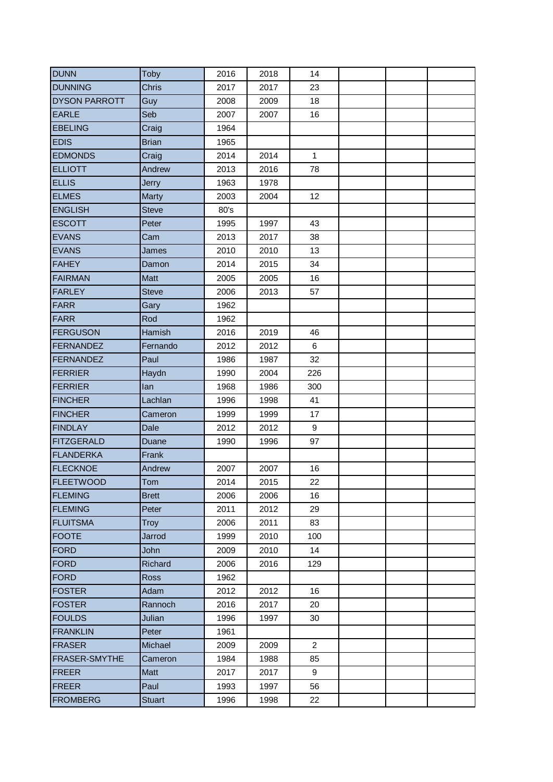| <b>DUNN</b>          | Toby          | 2016 | 2018 | 14             |  |  |
|----------------------|---------------|------|------|----------------|--|--|
| <b>DUNNING</b>       | <b>Chris</b>  | 2017 | 2017 | 23             |  |  |
| <b>DYSON PARROTT</b> | Guy           | 2008 | 2009 | 18             |  |  |
| <b>EARLE</b>         | Seb           | 2007 | 2007 | 16             |  |  |
| <b>EBELING</b>       | Craig         | 1964 |      |                |  |  |
| <b>EDIS</b>          | <b>Brian</b>  | 1965 |      |                |  |  |
| <b>EDMONDS</b>       | Craig         | 2014 | 2014 | $\mathbf{1}$   |  |  |
| <b>ELLIOTT</b>       | Andrew        | 2013 | 2016 | 78             |  |  |
| <b>ELLIS</b>         | <b>Jerry</b>  | 1963 | 1978 |                |  |  |
| <b>ELMES</b>         | Marty         | 2003 | 2004 | 12             |  |  |
| <b>ENGLISH</b>       | <b>Steve</b>  | 80's |      |                |  |  |
| <b>ESCOTT</b>        | Peter         | 1995 | 1997 | 43             |  |  |
| <b>EVANS</b>         | Cam           | 2013 | 2017 | 38             |  |  |
| <b>EVANS</b>         | James         | 2010 | 2010 | 13             |  |  |
| <b>FAHEY</b>         | Damon         | 2014 | 2015 | 34             |  |  |
| <b>FAIRMAN</b>       | Matt          | 2005 | 2005 | 16             |  |  |
| <b>FARLEY</b>        | <b>Steve</b>  | 2006 | 2013 | 57             |  |  |
| <b>FARR</b>          | Gary          | 1962 |      |                |  |  |
| <b>FARR</b>          | Rod           | 1962 |      |                |  |  |
| <b>FERGUSON</b>      | Hamish        | 2016 | 2019 | 46             |  |  |
| FERNANDEZ            | Fernando      | 2012 | 2012 | 6              |  |  |
| FERNANDEZ            | Paul          | 1986 | 1987 | 32             |  |  |
| FERRIER              | Haydn         | 1990 | 2004 | 226            |  |  |
| <b>FERRIER</b>       | lan           | 1968 | 1986 | 300            |  |  |
| <b>FINCHER</b>       | Lachlan       | 1996 | 1998 | 41             |  |  |
| <b>FINCHER</b>       | Cameron       | 1999 | 1999 | 17             |  |  |
| <b>FINDLAY</b>       | Dale          | 2012 | 2012 | 9              |  |  |
| <b>FITZGERALD</b>    | Duane         | 1990 | 1996 | 97             |  |  |
| <b>FLANDERKA</b>     | Frank         |      |      |                |  |  |
| <b>FLECKNOE</b>      | Andrew        | 2007 | 2007 | 16             |  |  |
| <b>FLEETWOOD</b>     | Tom           | 2014 | 2015 | 22             |  |  |
| <b>FLEMING</b>       | <b>Brett</b>  | 2006 | 2006 | 16             |  |  |
| <b>FLEMING</b>       | Peter         | 2011 | 2012 | 29             |  |  |
| <b>FLUITSMA</b>      | <b>Troy</b>   | 2006 | 2011 | 83             |  |  |
| <b>FOOTE</b>         | Jarrod        | 1999 | 2010 | 100            |  |  |
| FORD                 | John          | 2009 | 2010 | 14             |  |  |
| FORD                 | Richard       | 2006 | 2016 | 129            |  |  |
| FORD                 | <b>Ross</b>   | 1962 |      |                |  |  |
| <b>FOSTER</b>        | Adam          | 2012 | 2012 | 16             |  |  |
| <b>FOSTER</b>        | Rannoch       | 2016 | 2017 | 20             |  |  |
| <b>FOULDS</b>        | Julian        | 1996 | 1997 | 30             |  |  |
| <b>FRANKLIN</b>      | Peter         | 1961 |      |                |  |  |
| <b>FRASER</b>        | Michael       | 2009 | 2009 | $\overline{2}$ |  |  |
| <b>FRASER-SMYTHE</b> | Cameron       | 1984 | 1988 | 85             |  |  |
| FREER                | <b>Matt</b>   | 2017 | 2017 | 9              |  |  |
| FREER                | Paul          | 1993 | 1997 | 56             |  |  |
| <b>FROMBERG</b>      | <b>Stuart</b> | 1996 | 1998 | 22             |  |  |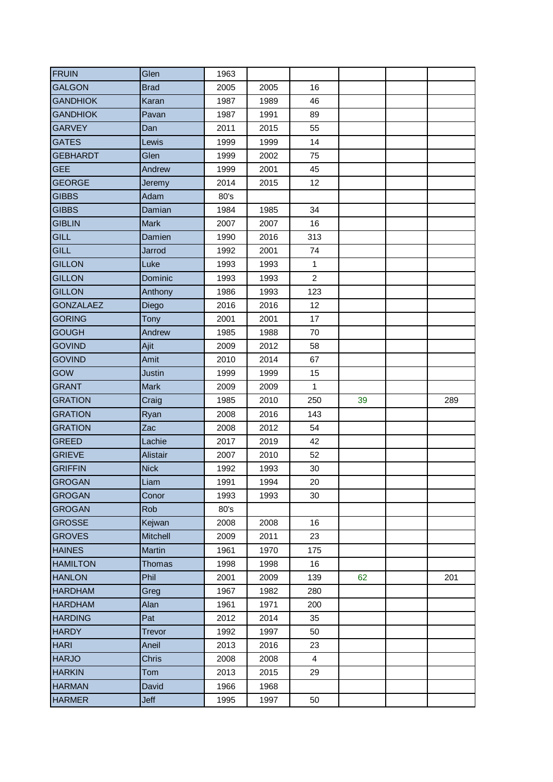| <b>FRUIN</b>                                                  | Glen          | 1963         |              |                |    |     |
|---------------------------------------------------------------|---------------|--------------|--------------|----------------|----|-----|
| <b>GALGON</b>                                                 | <b>Brad</b>   | 2005         | 2005         | 16             |    |     |
| <b>GANDHIOK</b>                                               | Karan         | 1987         | 1989         | 46             |    |     |
| <b>GANDHIOK</b>                                               | Pavan         | 1987         | 1991         | 89             |    |     |
| <b>GARVEY</b>                                                 | Dan           | 2011         | 2015         | 55             |    |     |
| <b>GATES</b>                                                  | Lewis         | 1999         | 1999         | 14             |    |     |
| <b>GEBHARDT</b>                                               | Glen          | 1999         | 2002         | 75             |    |     |
| <b>GEE</b>                                                    | Andrew        | 1999         | 2001         | 45             |    |     |
| <b>GEORGE</b>                                                 | Jeremy        | 2014         | 2015         | 12             |    |     |
| <b>GIBBS</b>                                                  | Adam          | 80's         |              |                |    |     |
| <b>GIBBS</b>                                                  | Damian        | 1984         | 1985         | 34             |    |     |
| <b>GIBLIN</b>                                                 | <b>Mark</b>   | 2007         | 2007         | 16             |    |     |
| GILL                                                          | Damien        | 1990         | 2016         | 313            |    |     |
| <b>GILL</b>                                                   | Jarrod        | 1992         | 2001         | 74             |    |     |
| <b>GILLON</b>                                                 | Luke          | 1993         | 1993         | $\mathbf{1}$   |    |     |
| <b>GILLON</b>                                                 | Dominic       | 1993         | 1993         | $\overline{2}$ |    |     |
| <b>GILLON</b>                                                 | Anthony       | 1986         | 1993         | 123            |    |     |
| <b>GONZALAEZ</b>                                              | Diego         | 2016         | 2016         | 12             |    |     |
| <b>GORING</b>                                                 | Tony          | 2001         | 2001         | 17             |    |     |
| <b>GOUGH</b>                                                  | Andrew        | 1985         | 1988         | 70             |    |     |
| <b>GOVIND</b>                                                 | Ajit          | 2009         | 2012         | 58             |    |     |
| <b>GOVIND</b>                                                 | Amit          | 2010         | 2014         | 67             |    |     |
| GOW                                                           | <b>Justin</b> | 1999         | 1999         | 15             |    |     |
| <b>GRANT</b>                                                  | <b>Mark</b>   | 2009         | 2009         | $\mathbf{1}$   |    |     |
| <b>GRATION</b>                                                | Craig         | 1985         | 2010         | 250            | 39 | 289 |
| <b>GRATION</b>                                                | Ryan          | 2008         | 2016         | 143            |    |     |
| <b>GRATION</b>                                                | Zac           | 2008         | 2012         | 54             |    |     |
| <b>GREED</b>                                                  | Lachie        | 2017         | 2019         | 42             |    |     |
| <b>GRIEVE</b>                                                 | Alistair      | 2007         | 2010         | 52             |    |     |
| <b>GRIFFIN</b>                                                | <b>Nick</b>   | 1992         | 1993         | 30             |    |     |
| <b>GROGAN</b>                                                 | Liam          | 1991         | 1994         | 20             |    |     |
| <b>GROGAN</b>                                                 | Conor         | 1993         | 1993         | 30             |    |     |
| <b>GROGAN</b>                                                 | Rob           | 80's         |              |                |    |     |
| <b>GROSSE</b>                                                 | Kejwan        | 2008         | 2008         | 16             |    |     |
| <b>GROVES</b>                                                 | Mitchell      | 2009         | 2011         | 23             |    |     |
| <b>HAINES</b>                                                 | Martin        | 1961         | 1970         | 175            |    |     |
| <b>HAMILTON</b>                                               | <b>Thomas</b> | 1998         | 1998         | 16             |    |     |
| <b>HANLON</b>                                                 | Phil          | 2001         | 2009         | 139            | 62 | 201 |
| <b>HARDHAM</b>                                                | Greg          | 1967         | 1982         | 280            |    |     |
| <b>HARDHAM</b>                                                |               |              |              |                |    |     |
|                                                               | Alan          | 1961         | 1971         | 200            |    |     |
|                                                               | Pat           | 2012         | 2014         | 35             |    |     |
|                                                               | Trevor        | 1992         | 1997         | 50             |    |     |
|                                                               | Aneil         | 2013         | 2016         | 23             |    |     |
| <b>HARDING</b><br><b>HARDY</b><br><b>HARI</b><br><b>HARJO</b> | Chris         | 2008         | 2008         | 4              |    |     |
| <b>HARKIN</b>                                                 | Tom           | 2013         | 2015         | 29             |    |     |
| <b>HARMAN</b><br><b>HARMER</b>                                | David<br>Jeff | 1966<br>1995 | 1968<br>1997 | 50             |    |     |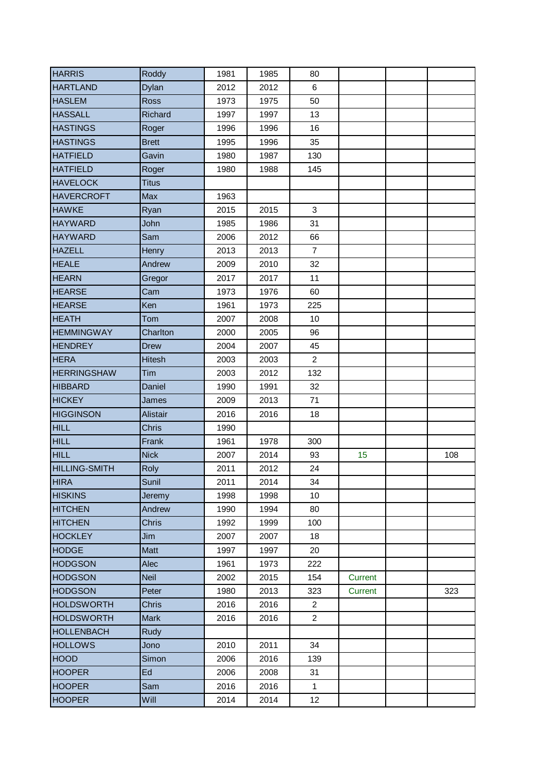| <b>HARRIS</b>        | Roddy           | 1981 | 1985 | 80             |         |     |
|----------------------|-----------------|------|------|----------------|---------|-----|
| <b>HARTLAND</b>      | Dylan           | 2012 | 2012 | 6              |         |     |
| <b>HASLEM</b>        | <b>Ross</b>     | 1973 | 1975 | 50             |         |     |
| <b>HASSALL</b>       | Richard         | 1997 | 1997 | 13             |         |     |
| <b>HASTINGS</b>      | Roger           | 1996 | 1996 | 16             |         |     |
| <b>HASTINGS</b>      | <b>Brett</b>    | 1995 | 1996 | 35             |         |     |
| <b>HATFIELD</b>      | Gavin           | 1980 | 1987 | 130            |         |     |
| <b>HATFIELD</b>      | Roger           | 1980 | 1988 | 145            |         |     |
| <b>HAVELOCK</b>      | <b>Titus</b>    |      |      |                |         |     |
| <b>HAVERCROFT</b>    | Max             | 1963 |      |                |         |     |
| <b>HAWKE</b>         | Ryan            | 2015 | 2015 | 3              |         |     |
| <b>HAYWARD</b>       | John            | 1985 | 1986 | 31             |         |     |
| <b>HAYWARD</b>       | Sam             | 2006 | 2012 | 66             |         |     |
| <b>HAZELL</b>        | Henry           | 2013 | 2013 | $\overline{7}$ |         |     |
| <b>HEALE</b>         | Andrew          | 2009 | 2010 | 32             |         |     |
| <b>HEARN</b>         | Gregor          | 2017 | 2017 | 11             |         |     |
| <b>HEARSE</b>        | Cam             | 1973 | 1976 | 60             |         |     |
| <b>HEARSE</b>        | Ken             | 1961 | 1973 | 225            |         |     |
| <b>HEATH</b>         | Tom             | 2007 | 2008 | 10             |         |     |
| <b>HEMMINGWAY</b>    | Charlton        | 2000 | 2005 | 96             |         |     |
| <b>HENDREY</b>       | <b>Drew</b>     | 2004 | 2007 | 45             |         |     |
| <b>HERA</b>          | <b>Hitesh</b>   | 2003 | 2003 | $\overline{c}$ |         |     |
| <b>HERRINGSHAW</b>   | Tim             | 2003 | 2012 | 132            |         |     |
| <b>HIBBARD</b>       | Daniel          | 1990 | 1991 | 32             |         |     |
| <b>HICKEY</b>        | James           | 2009 | 2013 | 71             |         |     |
| <b>HIGGINSON</b>     | <b>Alistair</b> | 2016 | 2016 | 18             |         |     |
| <b>HILL</b>          | <b>Chris</b>    | 1990 |      |                |         |     |
| <b>HILL</b>          | Frank           | 1961 | 1978 | 300            |         |     |
| <b>HILL</b>          | <b>Nick</b>     | 2007 | 2014 | 93             | 15      | 108 |
| <b>HILLING-SMITH</b> | Roly            | 2011 | 2012 | 24             |         |     |
| <b>HIRA</b>          | Sunil           | 2011 | 2014 | 34             |         |     |
| <b>HISKINS</b>       | Jeremy          | 1998 | 1998 | 10             |         |     |
| <b>HITCHEN</b>       | Andrew          | 1990 | 1994 | 80             |         |     |
| <b>HITCHEN</b>       | Chris           | 1992 | 1999 | 100            |         |     |
| <b>HOCKLEY</b>       | Jim             | 2007 | 2007 | 18             |         |     |
| <b>HODGE</b>         | Matt            | 1997 | 1997 | 20             |         |     |
| <b>HODGSON</b>       | Alec            | 1961 | 1973 | 222            |         |     |
| <b>HODGSON</b>       | <b>Neil</b>     | 2002 | 2015 | 154            | Current |     |
| <b>HODGSON</b>       | Peter           | 1980 | 2013 | 323            | Current | 323 |
| <b>HOLDSWORTH</b>    | Chris           | 2016 | 2016 | $\overline{2}$ |         |     |
| <b>HOLDSWORTH</b>    | <b>Mark</b>     | 2016 | 2016 | $\overline{2}$ |         |     |
| <b>HOLLENBACH</b>    | Rudy            |      |      |                |         |     |
| <b>HOLLOWS</b>       | Jono            | 2010 | 2011 | 34             |         |     |
| <b>HOOD</b>          | Simon           | 2006 | 2016 | 139            |         |     |
| <b>HOOPER</b>        | Ed              | 2006 | 2008 | 31             |         |     |
| <b>HOOPER</b>        | Sam             | 2016 | 2016 | $\mathbf{1}$   |         |     |
| <b>HOOPER</b>        | Will            | 2014 | 2014 | 12             |         |     |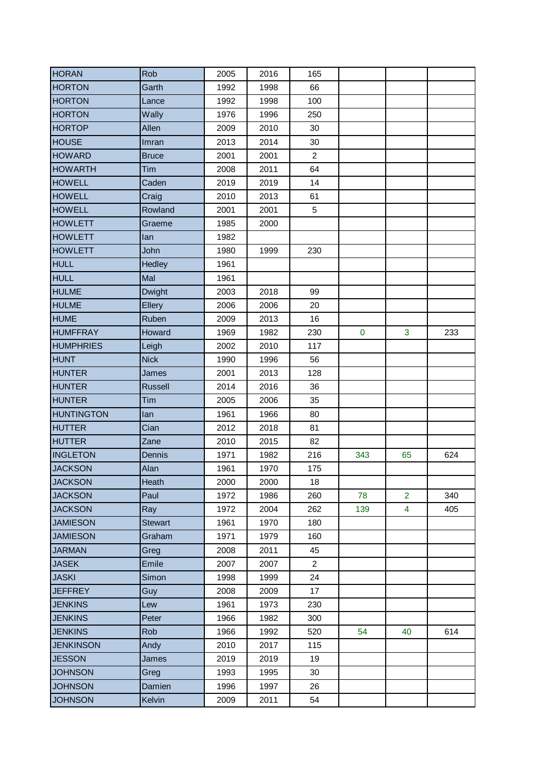| <b>HORAN</b>      | Rob            | 2005 | 2016 | 165            |           |                |     |
|-------------------|----------------|------|------|----------------|-----------|----------------|-----|
| <b>HORTON</b>     | Garth          | 1992 | 1998 | 66             |           |                |     |
| <b>HORTON</b>     | Lance          | 1992 | 1998 | 100            |           |                |     |
| <b>HORTON</b>     | Wally          | 1976 | 1996 | 250            |           |                |     |
| <b>HORTOP</b>     | Allen          | 2009 | 2010 | 30             |           |                |     |
| <b>HOUSE</b>      | Imran          | 2013 | 2014 | 30             |           |                |     |
| <b>HOWARD</b>     | <b>Bruce</b>   | 2001 | 2001 | $\overline{2}$ |           |                |     |
| <b>HOWARTH</b>    | Tim            | 2008 | 2011 | 64             |           |                |     |
| <b>HOWELL</b>     | Caden          | 2019 | 2019 | 14             |           |                |     |
| <b>HOWELL</b>     | Craig          | 2010 | 2013 | 61             |           |                |     |
| <b>HOWELL</b>     | Rowland        | 2001 | 2001 | 5              |           |                |     |
| <b>HOWLETT</b>    | Graeme         | 1985 | 2000 |                |           |                |     |
| <b>HOWLETT</b>    | lan            | 1982 |      |                |           |                |     |
| <b>HOWLETT</b>    | John           | 1980 | 1999 | 230            |           |                |     |
| <b>HULL</b>       | Hedley         | 1961 |      |                |           |                |     |
| <b>HULL</b>       | Mal            | 1961 |      |                |           |                |     |
| <b>HULME</b>      | <b>Dwight</b>  | 2003 | 2018 | 99             |           |                |     |
| <b>HULME</b>      | Ellery         | 2006 | 2006 | 20             |           |                |     |
| <b>HUME</b>       | Ruben          | 2009 | 2013 | 16             |           |                |     |
| <b>HUMFFRAY</b>   | Howard         | 1969 | 1982 | 230            | $\pmb{0}$ | 3              | 233 |
| <b>HUMPHRIES</b>  | Leigh          | 2002 | 2010 | 117            |           |                |     |
| <b>HUNT</b>       | <b>Nick</b>    | 1990 | 1996 | 56             |           |                |     |
| <b>HUNTER</b>     | James          | 2001 | 2013 | 128            |           |                |     |
| <b>HUNTER</b>     | <b>Russell</b> | 2014 | 2016 | 36             |           |                |     |
| <b>HUNTER</b>     | Tim            | 2005 | 2006 | 35             |           |                |     |
| <b>HUNTINGTON</b> | lan            | 1961 | 1966 | 80             |           |                |     |
| <b>HUTTER</b>     | Cian           | 2012 | 2018 | 81             |           |                |     |
| <b>HUTTER</b>     | Zane           | 2010 | 2015 | 82             |           |                |     |
| <b>INGLETON</b>   | Dennis         | 1971 | 1982 | 216            | 343       | 65             | 624 |
| <b>JACKSON</b>    | Alan           | 1961 | 1970 | 175            |           |                |     |
| <b>JACKSON</b>    | Heath          | 2000 | 2000 | 18             |           |                |     |
| <b>JACKSON</b>    | Paul           | 1972 | 1986 | 260            | 78        | $\overline{2}$ | 340 |
| <b>JACKSON</b>    | Ray            | 1972 | 2004 | 262            | 139       | 4              | 405 |
| <b>JAMIESON</b>   | <b>Stewart</b> | 1961 | 1970 | 180            |           |                |     |
| <b>JAMIESON</b>   | Graham         | 1971 | 1979 | 160            |           |                |     |
| <b>JARMAN</b>     | Greg           | 2008 | 2011 | 45             |           |                |     |
| <b>JASEK</b>      | Emile          | 2007 | 2007 | $\overline{2}$ |           |                |     |
| <b>JASKI</b>      | Simon          | 1998 | 1999 | 24             |           |                |     |
| <b>JEFFREY</b>    | Guy            | 2008 | 2009 | 17             |           |                |     |
| <b>JENKINS</b>    | Lew            | 1961 | 1973 | 230            |           |                |     |
| <b>JENKINS</b>    | Peter          | 1966 | 1982 | 300            |           |                |     |
| <b>JENKINS</b>    | <b>Rob</b>     | 1966 | 1992 | 520            | 54        | 40             | 614 |
| <b>JENKINSON</b>  | Andy           | 2010 | 2017 | 115            |           |                |     |
| <b>JESSON</b>     | James          | 2019 | 2019 | 19             |           |                |     |
| <b>JOHNSON</b>    | Greg           | 1993 | 1995 | 30             |           |                |     |
| <b>JOHNSON</b>    | Damien         | 1996 | 1997 | 26             |           |                |     |
| <b>JOHNSON</b>    | Kelvin         | 2009 | 2011 | 54             |           |                |     |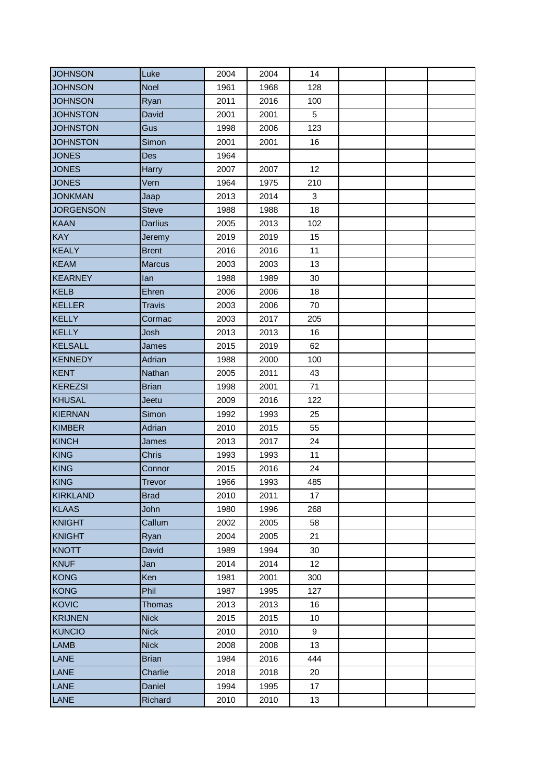| <b>JOHNSON</b>   | Luke           | 2004 | 2004 | 14              |  |  |
|------------------|----------------|------|------|-----------------|--|--|
| <b>JOHNSON</b>   | <b>Noel</b>    | 1961 | 1968 | 128             |  |  |
| <b>JOHNSON</b>   | Ryan           | 2011 | 2016 | 100             |  |  |
| <b>JOHNSTON</b>  | David          | 2001 | 2001 | $5\phantom{.0}$ |  |  |
| <b>JOHNSTON</b>  | Gus            | 1998 | 2006 | 123             |  |  |
| <b>JOHNSTON</b>  | Simon          | 2001 | 2001 | 16              |  |  |
| <b>JONES</b>     | <b>Des</b>     | 1964 |      |                 |  |  |
| <b>JONES</b>     | Harry          | 2007 | 2007 | 12              |  |  |
| <b>JONES</b>     | Vern           | 1964 | 1975 | 210             |  |  |
| <b>JONKMAN</b>   | Jaap           | 2013 | 2014 | $\mathbf{3}$    |  |  |
| <b>JORGENSON</b> | <b>Steve</b>   | 1988 | 1988 | 18              |  |  |
| <b>KAAN</b>      | <b>Darlius</b> | 2005 | 2013 | 102             |  |  |
| <b>KAY</b>       | Jeremy         | 2019 | 2019 | 15              |  |  |
| <b>KEALY</b>     | <b>Brent</b>   | 2016 | 2016 | 11              |  |  |
| <b>KEAM</b>      | <b>Marcus</b>  | 2003 | 2003 | 13              |  |  |
| <b>KEARNEY</b>   | lan            | 1988 | 1989 | 30              |  |  |
| <b>KELB</b>      | Ehren          | 2006 | 2006 | 18              |  |  |
| <b>KELLER</b>    | <b>Travis</b>  | 2003 | 2006 | 70              |  |  |
| <b>KELLY</b>     | Cormac         | 2003 | 2017 | 205             |  |  |
| <b>KELLY</b>     | Josh           | 2013 | 2013 | 16              |  |  |
| <b>KELSALL</b>   | James          | 2015 | 2019 | 62              |  |  |
| <b>KENNEDY</b>   | Adrian         | 1988 | 2000 | 100             |  |  |
| <b>KENT</b>      | Nathan         | 2005 | 2011 | 43              |  |  |
| <b>KEREZSI</b>   | <b>Brian</b>   | 1998 | 2001 | 71              |  |  |
| <b>KHUSAL</b>    | Jeetu          | 2009 | 2016 | 122             |  |  |
| <b>KIERNAN</b>   | Simon          | 1992 | 1993 | 25              |  |  |
| <b>KIMBER</b>    | Adrian         | 2010 | 2015 | 55              |  |  |
| <b>KINCH</b>     | James          | 2013 | 2017 | 24              |  |  |
| <b>KING</b>      | <b>Chris</b>   | 1993 | 1993 | 11              |  |  |
| <b>KING</b>      | Connor         | 2015 | 2016 | 24              |  |  |
| <b>KING</b>      | Trevor         | 1966 | 1993 | 485             |  |  |
| KIRKLAND         | <b>Brad</b>    | 2010 | 2011 | 17              |  |  |
| <b>KLAAS</b>     | John           | 1980 | 1996 | 268             |  |  |
| <b>KNIGHT</b>    | Callum         | 2002 | 2005 | 58              |  |  |
| <b>KNIGHT</b>    | Ryan           | 2004 | 2005 | 21              |  |  |
| <b>KNOTT</b>     | David          | 1989 | 1994 | 30              |  |  |
| <b>KNUF</b>      | Jan            | 2014 | 2014 | 12              |  |  |
| <b>KONG</b>      | Ken            | 1981 | 2001 | 300             |  |  |
| <b>KONG</b>      | Phil           | 1987 | 1995 | 127             |  |  |
| <b>KOVIC</b>     | <b>Thomas</b>  | 2013 | 2013 | 16              |  |  |
| <b>KRIJNEN</b>   | <b>Nick</b>    | 2015 | 2015 | 10              |  |  |
| <b>KUNCIO</b>    | <b>Nick</b>    | 2010 | 2010 | 9               |  |  |
| LAMB             | <b>Nick</b>    | 2008 | 2008 | 13              |  |  |
| LANE             | <b>Brian</b>   | 1984 | 2016 | 444             |  |  |
| LANE             | Charlie        | 2018 | 2018 | 20              |  |  |
| LANE             | Daniel         | 1994 | 1995 | 17              |  |  |
| LANE             | Richard        | 2010 | 2010 | 13              |  |  |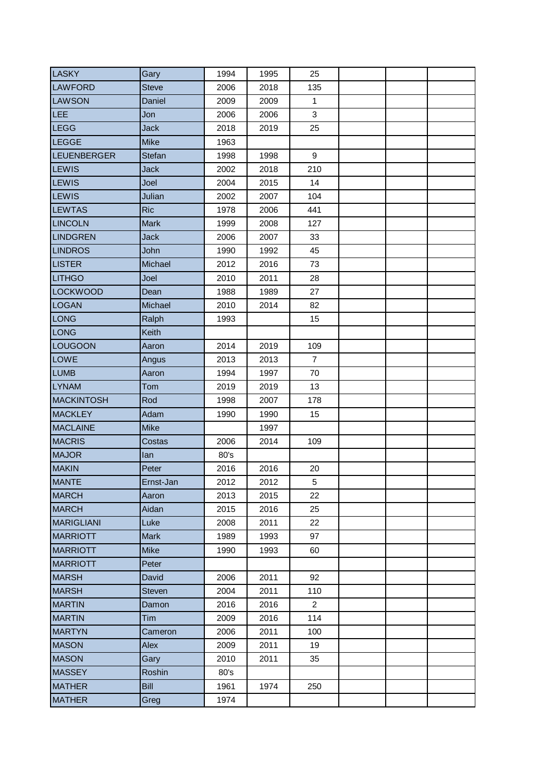| <b>LASKY</b>       | Gary          | 1994 | 1995 | 25             |  |  |
|--------------------|---------------|------|------|----------------|--|--|
| <b>LAWFORD</b>     | <b>Steve</b>  | 2006 | 2018 | 135            |  |  |
| <b>LAWSON</b>      | Daniel        | 2009 | 2009 | $\mathbf{1}$   |  |  |
| LEE                | Jon           | 2006 | 2006 | 3              |  |  |
| LEGG               | <b>Jack</b>   | 2018 | 2019 | 25             |  |  |
| LEGGE              | <b>Mike</b>   | 1963 |      |                |  |  |
| <b>LEUENBERGER</b> | Stefan        | 1998 | 1998 | 9              |  |  |
| <b>LEWIS</b>       | <b>Jack</b>   | 2002 | 2018 | 210            |  |  |
| LEWIS              | Joel          | 2004 | 2015 | 14             |  |  |
| <b>LEWIS</b>       | Julian        | 2002 | 2007 | 104            |  |  |
| <b>LEWTAS</b>      | <b>Ric</b>    | 1978 | 2006 | 441            |  |  |
| <b>LINCOLN</b>     | <b>Mark</b>   | 1999 | 2008 | 127            |  |  |
| <b>LINDGREN</b>    | <b>Jack</b>   | 2006 | 2007 | 33             |  |  |
| <b>LINDROS</b>     | John          | 1990 | 1992 | 45             |  |  |
| <b>LISTER</b>      | Michael       | 2012 | 2016 | 73             |  |  |
| <b>LITHGO</b>      | Joel          | 2010 | 2011 | 28             |  |  |
| <b>LOCKWOOD</b>    | Dean          | 1988 | 1989 | 27             |  |  |
| <b>LOGAN</b>       | Michael       | 2010 | 2014 | 82             |  |  |
| LONG               | Ralph         | 1993 |      | 15             |  |  |
| LONG               | Keith         |      |      |                |  |  |
| LOUGOON            | Aaron         | 2014 | 2019 | 109            |  |  |
| <b>LOWE</b>        | Angus         | 2013 | 2013 | $\overline{7}$ |  |  |
| <b>LUMB</b>        | Aaron         | 1994 | 1997 | 70             |  |  |
| <b>LYNAM</b>       | Tom           | 2019 | 2019 | 13             |  |  |
| <b>MACKINTOSH</b>  | Rod           | 1998 | 2007 | 178            |  |  |
| <b>MACKLEY</b>     | Adam          | 1990 | 1990 | 15             |  |  |
| <b>MACLAINE</b>    | <b>Mike</b>   |      | 1997 |                |  |  |
| <b>MACRIS</b>      | Costas        | 2006 | 2014 | 109            |  |  |
| <b>MAJOR</b>       | lan           | 80's |      |                |  |  |
| <b>MAKIN</b>       | Peter         | 2016 | 2016 | 20             |  |  |
| <b>MANTE</b>       | Ernst-Jan     | 2012 | 2012 | 5              |  |  |
| <b>MARCH</b>       | Aaron         | 2013 | 2015 | 22             |  |  |
| <b>MARCH</b>       | Aidan         | 2015 | 2016 | 25             |  |  |
| <b>MARIGLIANI</b>  | Luke          | 2008 | 2011 | 22             |  |  |
| <b>MARRIOTT</b>    | <b>Mark</b>   | 1989 | 1993 | 97             |  |  |
| <b>MARRIOTT</b>    | <b>Mike</b>   | 1990 | 1993 | 60             |  |  |
| <b>MARRIOTT</b>    | Peter         |      |      |                |  |  |
| <b>MARSH</b>       | David         | 2006 | 2011 | 92             |  |  |
| <b>MARSH</b>       | <b>Steven</b> | 2004 | 2011 | 110            |  |  |
| <b>MARTIN</b>      | Damon         | 2016 | 2016 | $\overline{2}$ |  |  |
| <b>MARTIN</b>      | Tim           | 2009 | 2016 | 114            |  |  |
| <b>MARTYN</b>      | Cameron       | 2006 | 2011 | 100            |  |  |
| <b>MASON</b>       | Alex          | 2009 | 2011 | 19             |  |  |
| <b>MASON</b>       | Gary          | 2010 | 2011 | 35             |  |  |
| <b>MASSEY</b>      | Roshin        | 80's |      |                |  |  |
| <b>MATHER</b>      | Bill          | 1961 | 1974 | 250            |  |  |
| <b>MATHER</b>      | Greg          | 1974 |      |                |  |  |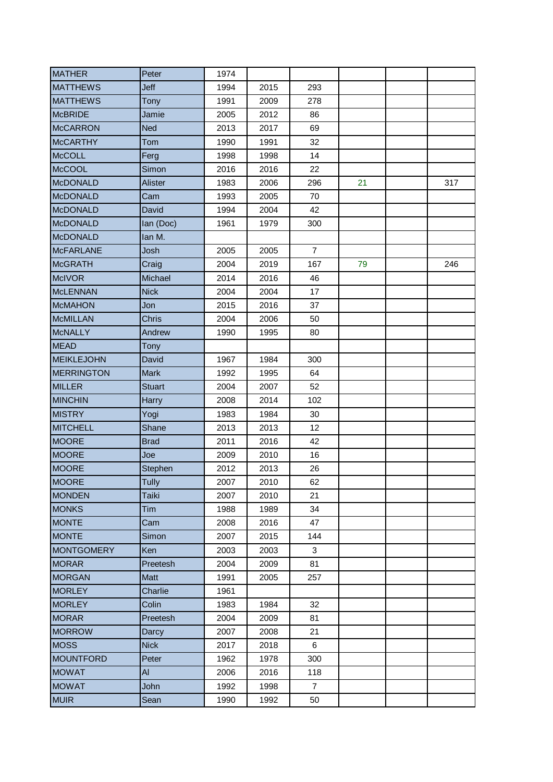| <b>MATHER</b>     | Peter         | 1974 |      |                |    |     |
|-------------------|---------------|------|------|----------------|----|-----|
| <b>MATTHEWS</b>   | Jeff          | 1994 | 2015 | 293            |    |     |
| <b>MATTHEWS</b>   | Tony          | 1991 | 2009 | 278            |    |     |
| <b>McBRIDE</b>    | Jamie         | 2005 | 2012 | 86             |    |     |
| <b>McCARRON</b>   | <b>Ned</b>    | 2013 | 2017 | 69             |    |     |
| <b>McCARTHY</b>   | Tom           | 1990 | 1991 | 32             |    |     |
| <b>McCOLL</b>     | Ferg          | 1998 | 1998 | 14             |    |     |
| <b>McCOOL</b>     | Simon         | 2016 | 2016 | 22             |    |     |
| <b>McDONALD</b>   | Alister       | 1983 | 2006 | 296            | 21 | 317 |
| <b>McDONALD</b>   | Cam           | 1993 | 2005 | 70             |    |     |
| <b>McDONALD</b>   | David         | 1994 | 2004 | 42             |    |     |
| <b>McDONALD</b>   | lan (Doc)     | 1961 | 1979 | 300            |    |     |
| <b>McDONALD</b>   | Ian M.        |      |      |                |    |     |
| <b>McFARLANE</b>  | Josh          | 2005 | 2005 | $\overline{7}$ |    |     |
| <b>McGRATH</b>    | Craig         | 2004 | 2019 | 167            | 79 | 246 |
| <b>McIVOR</b>     | Michael       | 2014 | 2016 | 46             |    |     |
| <b>McLENNAN</b>   | <b>Nick</b>   | 2004 | 2004 | 17             |    |     |
| <b>McMAHON</b>    | Jon           | 2015 | 2016 | 37             |    |     |
| <b>McMILLAN</b>   | Chris         | 2004 | 2006 | 50             |    |     |
| <b>McNALLY</b>    | Andrew        | 1990 | 1995 | 80             |    |     |
| <b>MEAD</b>       | Tony          |      |      |                |    |     |
| <b>MEIKLEJOHN</b> | David         | 1967 | 1984 | 300            |    |     |
| <b>MERRINGTON</b> | <b>Mark</b>   | 1992 | 1995 | 64             |    |     |
| <b>MILLER</b>     | <b>Stuart</b> | 2004 | 2007 | 52             |    |     |
| <b>MINCHIN</b>    | Harry         | 2008 | 2014 | 102            |    |     |
| <b>MISTRY</b>     | Yogi          | 1983 | 1984 | 30             |    |     |
| <b>MITCHELL</b>   | Shane         | 2013 | 2013 | 12             |    |     |
| <b>MOORE</b>      | <b>Brad</b>   | 2011 | 2016 | 42             |    |     |
| <b>MOORE</b>      | Joe           | 2009 | 2010 | 16             |    |     |
| <b>MOORE</b>      | Stephen       | 2012 | 2013 | 26             |    |     |
| <b>MOORE</b>      | Tully         | 2007 | 2010 | 62             |    |     |
| <b>MONDEN</b>     | Taiki         | 2007 | 2010 | 21             |    |     |
| <b>MONKS</b>      | Tim           | 1988 | 1989 | 34             |    |     |
| <b>MONTE</b>      | Cam           | 2008 | 2016 | 47             |    |     |
| <b>MONTE</b>      | Simon         | 2007 | 2015 | 144            |    |     |
| <b>MONTGOMERY</b> | Ken           | 2003 | 2003 | 3              |    |     |
| <b>MORAR</b>      | Preetesh      | 2004 | 2009 | 81             |    |     |
| <b>MORGAN</b>     | <b>Matt</b>   | 1991 | 2005 | 257            |    |     |
| <b>MORLEY</b>     | Charlie       | 1961 |      |                |    |     |
| <b>MORLEY</b>     | Colin         | 1983 | 1984 | 32             |    |     |
| <b>MORAR</b>      | Preetesh      | 2004 | 2009 | 81             |    |     |
| <b>MORROW</b>     | Darcy         | 2007 | 2008 | 21             |    |     |
| <b>MOSS</b>       | <b>Nick</b>   | 2017 | 2018 | 6              |    |     |
| <b>MOUNTFORD</b>  | Peter         | 1962 | 1978 | 300            |    |     |
| <b>MOWAT</b>      | AI            | 2006 | 2016 | 118            |    |     |
| <b>MOWAT</b>      | John          | 1992 | 1998 | $\overline{7}$ |    |     |
| <b>MUIR</b>       | Sean          | 1990 | 1992 | 50             |    |     |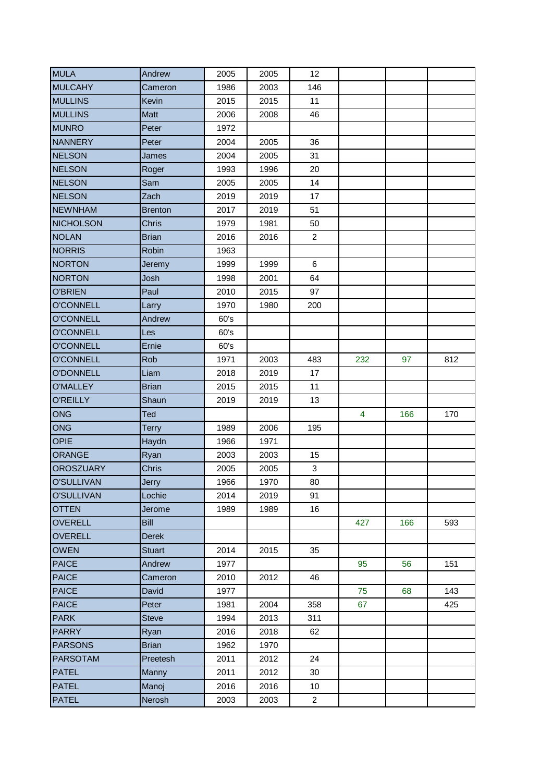| <b>MULA</b>       | Andrew         | 2005 | 2005 | 12             |     |     |     |
|-------------------|----------------|------|------|----------------|-----|-----|-----|
| <b>MULCAHY</b>    | Cameron        | 1986 | 2003 | 146            |     |     |     |
| <b>MULLINS</b>    | Kevin          | 2015 | 2015 | 11             |     |     |     |
| <b>MULLINS</b>    | Matt           | 2006 | 2008 | 46             |     |     |     |
| <b>MUNRO</b>      | Peter          | 1972 |      |                |     |     |     |
| <b>NANNERY</b>    | Peter          | 2004 | 2005 | 36             |     |     |     |
| <b>NELSON</b>     | James          | 2004 | 2005 | 31             |     |     |     |
| <b>NELSON</b>     | Roger          | 1993 | 1996 | 20             |     |     |     |
| <b>NELSON</b>     | Sam            | 2005 | 2005 | 14             |     |     |     |
| <b>NELSON</b>     | Zach           | 2019 | 2019 | 17             |     |     |     |
| <b>NEWNHAM</b>    | <b>Brenton</b> | 2017 | 2019 | 51             |     |     |     |
| <b>NICHOLSON</b>  | <b>Chris</b>   | 1979 | 1981 | 50             |     |     |     |
| <b>NOLAN</b>      | <b>Brian</b>   | 2016 | 2016 | $\overline{2}$ |     |     |     |
| <b>NORRIS</b>     | Robin          | 1963 |      |                |     |     |     |
| <b>NORTON</b>     | Jeremy         | 1999 | 1999 | 6              |     |     |     |
| <b>NORTON</b>     | Josh           | 1998 | 2001 | 64             |     |     |     |
| <b>O'BRIEN</b>    | Paul           | 2010 | 2015 | 97             |     |     |     |
| <b>O'CONNELL</b>  | Larry          | 1970 | 1980 | 200            |     |     |     |
| <b>O'CONNELL</b>  | Andrew         | 60's |      |                |     |     |     |
| <b>O'CONNELL</b>  | Les            | 60's |      |                |     |     |     |
| <b>O'CONNELL</b>  | Ernie          | 60's |      |                |     |     |     |
| <b>O'CONNELL</b>  | Rob            | 1971 | 2003 | 483            | 232 | 97  | 812 |
| <b>O'DONNELL</b>  | Liam           | 2018 | 2019 | 17             |     |     |     |
| <b>O'MALLEY</b>   | <b>Brian</b>   | 2015 | 2015 | 11             |     |     |     |
| <b>O'REILLY</b>   | Shaun          | 2019 | 2019 | 13             |     |     |     |
| <b>ONG</b>        | Ted            |      |      |                | 4   | 166 | 170 |
| ONG               | <b>Terry</b>   | 1989 | 2006 | 195            |     |     |     |
| <b>OPIE</b>       | Haydn          | 1966 | 1971 |                |     |     |     |
| ORANGE            | Ryan           | 2003 | 2003 | 15             |     |     |     |
| <b>OROSZUARY</b>  | Chris          | 2005 | 2005 | $\mathfrak{S}$ |     |     |     |
| <b>O'SULLIVAN</b> | Jerry          | 1966 | 1970 | 80             |     |     |     |
| <b>O'SULLIVAN</b> | Lochie         | 2014 | 2019 | 91             |     |     |     |
| <b>OTTEN</b>      | Jerome         | 1989 | 1989 | 16             |     |     |     |
| <b>OVERELL</b>    | <b>Bill</b>    |      |      |                | 427 | 166 | 593 |
| <b>OVERELL</b>    | <b>Derek</b>   |      |      |                |     |     |     |
| <b>OWEN</b>       | <b>Stuart</b>  | 2014 | 2015 | 35             |     |     |     |
| <b>PAICE</b>      | Andrew         | 1977 |      |                | 95  | 56  | 151 |
| <b>PAICE</b>      | Cameron        | 2010 | 2012 | 46             |     |     |     |
| <b>PAICE</b>      | David          | 1977 |      |                | 75  | 68  | 143 |
| <b>PAICE</b>      | Peter          | 1981 | 2004 | 358            | 67  |     | 425 |
| <b>PARK</b>       | <b>Steve</b>   | 1994 | 2013 | 311            |     |     |     |
| <b>PARRY</b>      | Ryan           | 2016 | 2018 | 62             |     |     |     |
| <b>PARSONS</b>    | <b>Brian</b>   | 1962 | 1970 |                |     |     |     |
| <b>PARSOTAM</b>   | Preetesh       | 2011 | 2012 | 24             |     |     |     |
| <b>PATEL</b>      | Manny          | 2011 | 2012 | 30             |     |     |     |
| <b>PATEL</b>      | Manoj          | 2016 | 2016 | 10             |     |     |     |
| <b>PATEL</b>      | Nerosh         | 2003 | 2003 | $\overline{2}$ |     |     |     |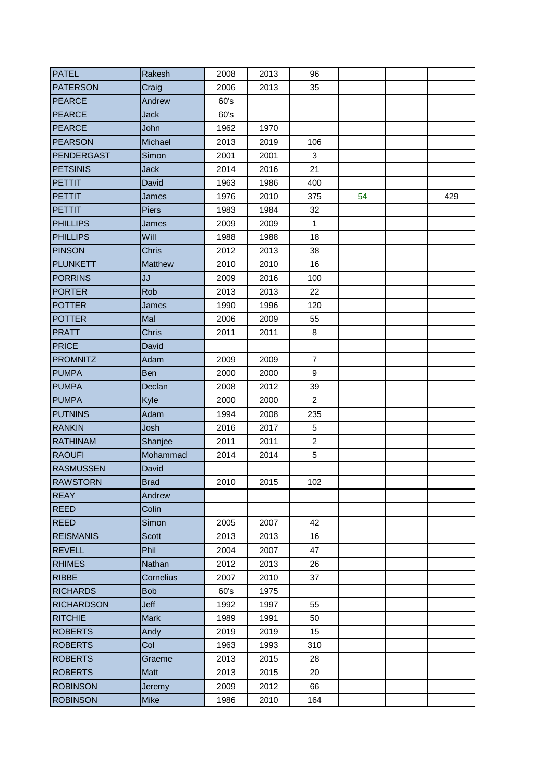| <b>PATEL</b>                   | Rakesh        | 2008         | 2013         | 96             |    |     |
|--------------------------------|---------------|--------------|--------------|----------------|----|-----|
| <b>PATERSON</b>                | Craig         | 2006         | 2013         | 35             |    |     |
| <b>PEARCE</b>                  | Andrew        | 60's         |              |                |    |     |
| PEARCE                         | <b>Jack</b>   | 60's         |              |                |    |     |
| <b>PEARCE</b>                  | John          | 1962         | 1970         |                |    |     |
| <b>PEARSON</b>                 | Michael       | 2013         | 2019         | 106            |    |     |
| PENDERGAST                     | Simon         | 2001         | 2001         | 3              |    |     |
| <b>PETSINIS</b>                | <b>Jack</b>   | 2014         | 2016         | 21             |    |     |
| PETTIT                         | David         | 1963         | 1986         | 400            |    |     |
| <b>PETTIT</b>                  | James         | 1976         | 2010         | 375            | 54 | 429 |
| <b>PETTIT</b>                  | <b>Piers</b>  | 1983         | 1984         | 32             |    |     |
| <b>PHILLIPS</b>                | James         | 2009         | 2009         | $\mathbf{1}$   |    |     |
| <b>PHILLIPS</b>                | Will          | 1988         | 1988         | 18             |    |     |
| <b>PINSON</b>                  | Chris         | 2012         | 2013         | 38             |    |     |
| <b>PLUNKETT</b>                | Matthew       | 2010         | 2010         | 16             |    |     |
| <b>PORRINS</b>                 | JJ            | 2009         | 2016         | 100            |    |     |
| <b>PORTER</b>                  | Rob           | 2013         | 2013         | 22             |    |     |
| <b>POTTER</b>                  | James         | 1990         | 1996         | 120            |    |     |
| <b>POTTER</b>                  | Mal           | 2006         | 2009         | 55             |    |     |
| <b>PRATT</b>                   | <b>Chris</b>  | 2011         | 2011         | 8              |    |     |
| PRICE                          | David         |              |              |                |    |     |
| <b>PROMNITZ</b>                | Adam          | 2009         | 2009         | $\overline{7}$ |    |     |
| <b>PUMPA</b>                   | <b>Ben</b>    | 2000         | 2000         | 9              |    |     |
| <b>PUMPA</b>                   | Declan        | 2008         | 2012         | 39             |    |     |
| <b>PUMPA</b>                   | Kyle          | 2000         | 2000         | $\overline{2}$ |    |     |
| <b>PUTNINS</b>                 | Adam          | 1994         | 2008         | 235            |    |     |
| <b>RANKIN</b>                  | Josh          | 2016         | 2017         | 5              |    |     |
| <b>RATHINAM</b>                | Shanjee       | 2011         | 2011         | $\overline{c}$ |    |     |
| <b>RAOUFI</b>                  | Mohammad      | 2014         | 2014         | 5              |    |     |
| <b>RASMUSSEN</b>               | David         |              |              |                |    |     |
| <b>RAWSTORN</b>                | <b>Brad</b>   | 2010         | 2015         | 102            |    |     |
| <b>REAY</b>                    | Andrew        |              |              |                |    |     |
| <b>REED</b>                    | Colin         |              |              |                |    |     |
| <b>REED</b>                    | Simon         | 2005         | 2007         | 42             |    |     |
| <b>REISMANIS</b>               | Scott<br>Phil | 2013         | 2013         | 16<br>47       |    |     |
| <b>REVELL</b><br><b>RHIMES</b> | Nathan        | 2004<br>2012 | 2007<br>2013 | 26             |    |     |
| <b>RIBBE</b>                   | Cornelius     | 2007         | 2010         | 37             |    |     |
| <b>RICHARDS</b>                | <b>Bob</b>    | 60's         | 1975         |                |    |     |
| <b>RICHARDSON</b>              | Jeff          | 1992         | 1997         | 55             |    |     |
| <b>RITCHIE</b>                 | <b>Mark</b>   | 1989         | 1991         | 50             |    |     |
| <b>ROBERTS</b>                 | Andy          | 2019         | 2019         | 15             |    |     |
| <b>ROBERTS</b>                 | Col           | 1963         | 1993         | 310            |    |     |
| <b>ROBERTS</b>                 | Graeme        | 2013         | 2015         | 28             |    |     |
| <b>ROBERTS</b>                 | Matt          | 2013         | 2015         | 20             |    |     |
| <b>ROBINSON</b>                | Jeremy        | 2009         | 2012         | 66             |    |     |
| <b>ROBINSON</b>                | <b>Mike</b>   | 1986         | 2010         | 164            |    |     |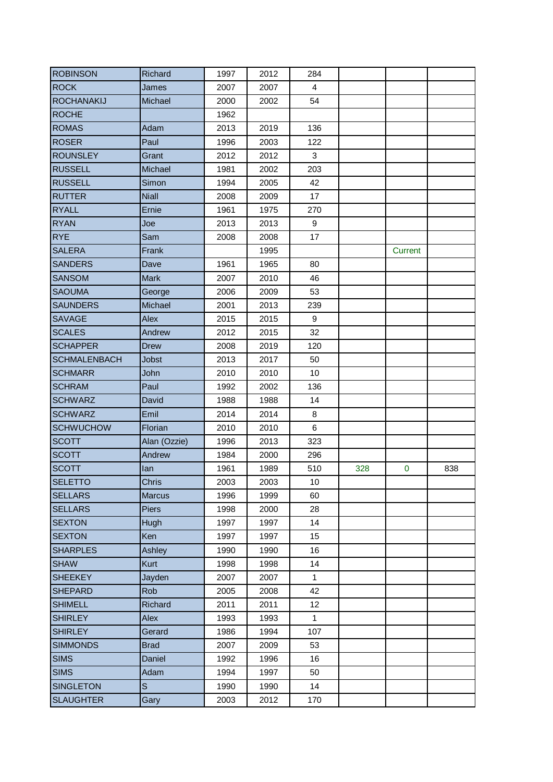| <b>ROBINSON</b>     | Richard       | 1997 | 2012 | 284            |     |          |     |
|---------------------|---------------|------|------|----------------|-----|----------|-----|
| <b>ROCK</b>         | James         | 2007 | 2007 | $\overline{4}$ |     |          |     |
| <b>ROCHANAKIJ</b>   | Michael       | 2000 | 2002 | 54             |     |          |     |
| <b>ROCHE</b>        |               | 1962 |      |                |     |          |     |
| <b>ROMAS</b>        | Adam          | 2013 | 2019 | 136            |     |          |     |
| <b>ROSER</b>        | Paul          | 1996 | 2003 | 122            |     |          |     |
| <b>ROUNSLEY</b>     | Grant         | 2012 | 2012 | 3              |     |          |     |
| <b>RUSSELL</b>      | Michael       | 1981 | 2002 | 203            |     |          |     |
| <b>RUSSELL</b>      | Simon         | 1994 | 2005 | 42             |     |          |     |
| <b>RUTTER</b>       | <b>Niall</b>  | 2008 | 2009 | 17             |     |          |     |
| <b>RYALL</b>        | Ernie         | 1961 | 1975 | 270            |     |          |     |
| <b>RYAN</b>         | Joe           | 2013 | 2013 | 9              |     |          |     |
| <b>RYE</b>          | Sam           | 2008 | 2008 | 17             |     |          |     |
| <b>SALERA</b>       | Frank         |      | 1995 |                |     | Current  |     |
| <b>SANDERS</b>      | Dave          | 1961 | 1965 | 80             |     |          |     |
| <b>SANSOM</b>       | <b>Mark</b>   | 2007 | 2010 | 46             |     |          |     |
| <b>SAOUMA</b>       | George        | 2006 | 2009 | 53             |     |          |     |
| <b>SAUNDERS</b>     | Michael       | 2001 | 2013 | 239            |     |          |     |
| <b>SAVAGE</b>       | Alex          | 2015 | 2015 | 9              |     |          |     |
| <b>SCALES</b>       | Andrew        | 2012 | 2015 | 32             |     |          |     |
| <b>SCHAPPER</b>     | <b>Drew</b>   | 2008 | 2019 | 120            |     |          |     |
| <b>SCHMALENBACH</b> | <b>Jobst</b>  | 2013 | 2017 | 50             |     |          |     |
| <b>SCHMARR</b>      | John          | 2010 | 2010 | 10             |     |          |     |
| <b>SCHRAM</b>       | Paul          | 1992 | 2002 | 136            |     |          |     |
| <b>SCHWARZ</b>      | David         | 1988 | 1988 | 14             |     |          |     |
| <b>SCHWARZ</b>      | Emil          | 2014 | 2014 | 8              |     |          |     |
| <b>SCHWUCHOW</b>    | Florian       | 2010 | 2010 | 6              |     |          |     |
| <b>SCOTT</b>        | Alan (Ozzie)  | 1996 | 2013 | 323            |     |          |     |
| <b>SCOTT</b>        | Andrew        | 1984 | 2000 | 296            |     |          |     |
| <b>SCOTT</b>        | lan           | 1961 | 1989 | 510            | 328 | $\bf{0}$ | 838 |
| <b>SELETTO</b>      | Chris         | 2003 | 2003 | 10             |     |          |     |
| <b>SELLARS</b>      | <b>Marcus</b> | 1996 | 1999 | 60             |     |          |     |
| <b>SELLARS</b>      | <b>Piers</b>  | 1998 | 2000 | 28             |     |          |     |
| <b>SEXTON</b>       | Hugh          | 1997 | 1997 | 14             |     |          |     |
| <b>SEXTON</b>       | Ken           | 1997 | 1997 | 15             |     |          |     |
| <b>SHARPLES</b>     | Ashley        | 1990 | 1990 | 16             |     |          |     |
| <b>SHAW</b>         | Kurt          | 1998 | 1998 | 14             |     |          |     |
| <b>SHEEKEY</b>      | Jayden        | 2007 | 2007 | $\mathbf{1}$   |     |          |     |
| <b>SHEPARD</b>      | Rob           | 2005 | 2008 | 42             |     |          |     |
| <b>SHIMELL</b>      | Richard       | 2011 | 2011 | 12             |     |          |     |
| <b>SHIRLEY</b>      | Alex          | 1993 | 1993 | $\mathbf{1}$   |     |          |     |
| <b>SHIRLEY</b>      | Gerard        | 1986 | 1994 | 107            |     |          |     |
| <b>SIMMONDS</b>     | <b>Brad</b>   | 2007 | 2009 | 53             |     |          |     |
| <b>SIMS</b>         | Daniel        | 1992 | 1996 | 16             |     |          |     |
| <b>SIMS</b>         | Adam          | 1994 | 1997 | 50             |     |          |     |
| <b>SINGLETON</b>    | $\mathbb S$   | 1990 | 1990 | 14             |     |          |     |
| <b>SLAUGHTER</b>    | Gary          | 2003 | 2012 | 170            |     |          |     |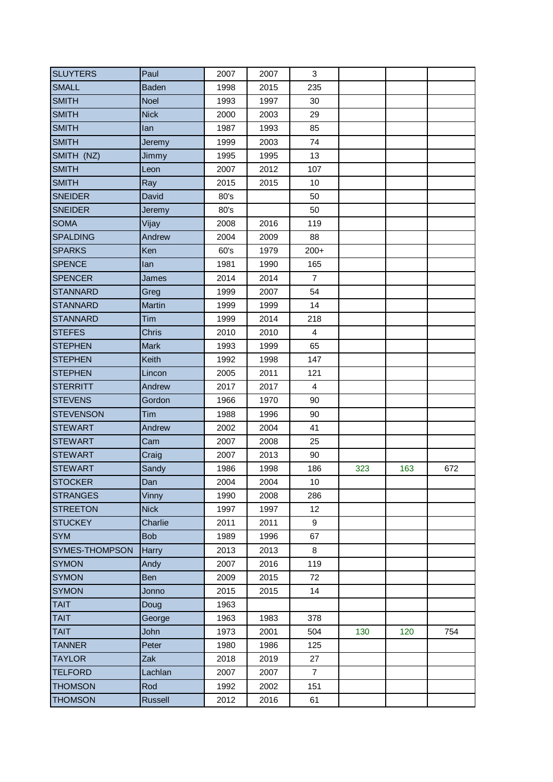| <b>SLUYTERS</b>       | Paul         | 2007 | 2007 | 3              |     |     |     |
|-----------------------|--------------|------|------|----------------|-----|-----|-----|
| <b>SMALL</b>          | <b>Baden</b> | 1998 | 2015 | 235            |     |     |     |
| <b>SMITH</b>          | Noel         | 1993 | 1997 | 30             |     |     |     |
| <b>SMITH</b>          | <b>Nick</b>  | 2000 | 2003 | 29             |     |     |     |
| <b>SMITH</b>          | lan          | 1987 | 1993 | 85             |     |     |     |
| <b>SMITH</b>          | Jeremy       | 1999 | 2003 | 74             |     |     |     |
| SMITH (NZ)            | Jimmy        | 1995 | 1995 | 13             |     |     |     |
| <b>SMITH</b>          | Leon         | 2007 | 2012 | 107            |     |     |     |
| <b>SMITH</b>          | Ray          | 2015 | 2015 | 10             |     |     |     |
| <b>SNEIDER</b>        | David        | 80's |      | 50             |     |     |     |
| <b>SNEIDER</b>        | Jeremy       | 80's |      | 50             |     |     |     |
| <b>SOMA</b>           | Vijay        | 2008 | 2016 | 119            |     |     |     |
| <b>SPALDING</b>       | Andrew       | 2004 | 2009 | 88             |     |     |     |
| <b>SPARKS</b>         | Ken          | 60's | 1979 | $200+$         |     |     |     |
| <b>SPENCE</b>         | lan          | 1981 | 1990 | 165            |     |     |     |
| <b>SPENCER</b>        | James        | 2014 | 2014 | $\overline{7}$ |     |     |     |
| <b>STANNARD</b>       | Greg         | 1999 | 2007 | 54             |     |     |     |
| <b>STANNARD</b>       | Martin       | 1999 | 1999 | 14             |     |     |     |
| <b>STANNARD</b>       | Tim          | 1999 | 2014 | 218            |     |     |     |
| <b>STEFES</b>         | <b>Chris</b> | 2010 | 2010 | $\overline{4}$ |     |     |     |
| <b>STEPHEN</b>        | <b>Mark</b>  | 1993 | 1999 | 65             |     |     |     |
| <b>STEPHEN</b>        | Keith        | 1992 | 1998 | 147            |     |     |     |
| <b>STEPHEN</b>        | Lincon       | 2005 | 2011 | 121            |     |     |     |
| <b>STERRITT</b>       | Andrew       | 2017 | 2017 | 4              |     |     |     |
| <b>STEVENS</b>        | Gordon       | 1966 | 1970 | 90             |     |     |     |
| <b>STEVENSON</b>      | Tim          | 1988 | 1996 | 90             |     |     |     |
| <b>STEWART</b>        | Andrew       | 2002 | 2004 | 41             |     |     |     |
| <b>STEWART</b>        | Cam          | 2007 | 2008 | 25             |     |     |     |
| <b>STEWART</b>        | Craig        | 2007 | 2013 | 90             |     |     |     |
| <b>STEWART</b>        | Sandy        | 1986 | 1998 | 186            | 323 | 163 | 672 |
| <b>STOCKER</b>        | Dan          | 2004 | 2004 | 10             |     |     |     |
| <b>STRANGES</b>       | Vinny        | 1990 | 2008 | 286            |     |     |     |
| <b>STREETON</b>       | <b>Nick</b>  | 1997 | 1997 | 12             |     |     |     |
| <b>STUCKEY</b>        | Charlie      | 2011 | 2011 | 9              |     |     |     |
| <b>SYM</b>            | <b>Bob</b>   | 1989 | 1996 | 67             |     |     |     |
| <b>SYMES-THOMPSON</b> | Harry        | 2013 | 2013 | 8              |     |     |     |
| <b>SYMON</b>          | Andy         | 2007 | 2016 | 119            |     |     |     |
| <b>SYMON</b>          | <b>Ben</b>   | 2009 | 2015 | 72             |     |     |     |
| <b>SYMON</b>          | Jonno        | 2015 | 2015 | 14             |     |     |     |
| <b>TAIT</b>           | Doug         | 1963 |      |                |     |     |     |
| <b>TAIT</b>           | George       | 1963 | 1983 | 378            |     |     |     |
| <b>TAIT</b>           | John         | 1973 | 2001 | 504            | 130 | 120 | 754 |
| <b>TANNER</b>         | Peter        | 1980 | 1986 | 125            |     |     |     |
| <b>TAYLOR</b>         | Zak          | 2018 | 2019 | 27             |     |     |     |
| <b>TELFORD</b>        | Lachlan      | 2007 | 2007 | $\overline{7}$ |     |     |     |
| <b>THOMSON</b>        | Rod          | 1992 | 2002 | 151            |     |     |     |
| <b>THOMSON</b>        | Russell      | 2012 | 2016 | 61             |     |     |     |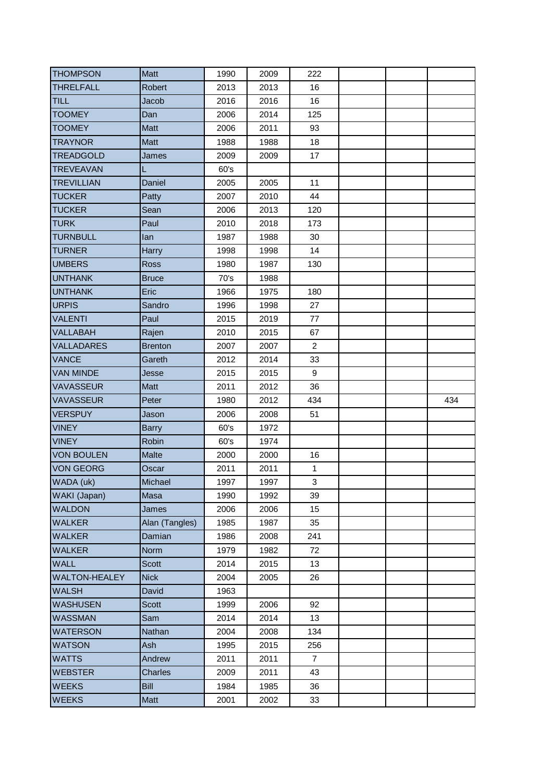| <b>THOMPSON</b>                                                                       | <b>Matt</b>         | 1990         | 2009         | 222            |  |     |
|---------------------------------------------------------------------------------------|---------------------|--------------|--------------|----------------|--|-----|
| <b>THRELFALL</b>                                                                      | <b>Robert</b>       | 2013         | 2013         | 16             |  |     |
| <b>TILL</b>                                                                           | Jacob               | 2016         | 2016         | 16             |  |     |
| <b>TOOMEY</b>                                                                         | Dan                 | 2006         | 2014         | 125            |  |     |
| <b>TOOMEY</b>                                                                         | <b>Matt</b>         | 2006         | 2011         | 93             |  |     |
| <b>TRAYNOR</b>                                                                        | Matt                | 1988         | 1988         | 18             |  |     |
| <b>TREADGOLD</b>                                                                      | James               | 2009         | 2009         | 17             |  |     |
| <b>TREVEAVAN</b>                                                                      | L                   | 60's         |              |                |  |     |
| <b>TREVILLIAN</b>                                                                     | Daniel              | 2005         | 2005         | 11             |  |     |
| <b>TUCKER</b>                                                                         | Patty               | 2007         | 2010         | 44             |  |     |
| <b>TUCKER</b>                                                                         | Sean                | 2006         | 2013         | 120            |  |     |
| <b>TURK</b>                                                                           | Paul                | 2010         | 2018         | 173            |  |     |
| <b>TURNBULL</b>                                                                       | lan                 | 1987         | 1988         | 30             |  |     |
| <b>TURNER</b>                                                                         | Harry               | 1998         | 1998         | 14             |  |     |
| <b>UMBERS</b>                                                                         | Ross                | 1980         | 1987         | 130            |  |     |
| <b>UNTHANK</b>                                                                        | <b>Bruce</b>        | 70's         | 1988         |                |  |     |
| <b>UNTHANK</b>                                                                        | Eric                | 1966         | 1975         | 180            |  |     |
| <b>URPIS</b>                                                                          | Sandro              | 1996         | 1998         | 27             |  |     |
| <b>VALENTI</b>                                                                        | Paul                | 2015         | 2019         | 77             |  |     |
| <b>VALLABAH</b>                                                                       | Rajen               | 2010         | 2015         | 67             |  |     |
| <b>VALLADARES</b>                                                                     | <b>Brenton</b>      | 2007         | 2007         | $\overline{2}$ |  |     |
| <b>VANCE</b>                                                                          | Gareth              | 2012         | 2014         | 33             |  |     |
| <b>VAN MINDE</b>                                                                      | Jesse               | 2015         | 2015         | 9              |  |     |
|                                                                                       |                     |              |              | 36             |  |     |
| <b>VAVASSEUR</b>                                                                      | Matt                | 2011         | 2012         |                |  |     |
| <b>VAVASSEUR</b>                                                                      | Peter               | 1980         | 2012         | 434            |  | 434 |
| <b>VERSPUY</b>                                                                        | Jason               | 2006         | 2008         | 51             |  |     |
| <b>VINEY</b>                                                                          | <b>Barry</b>        | 60's         | 1972         |                |  |     |
| <b>VINEY</b>                                                                          | Robin               | 60's         | 1974         |                |  |     |
| <b>VON BOULEN</b>                                                                     | <b>Malte</b>        | 2000         | 2000         | 16             |  |     |
| <b>VON GEORG</b>                                                                      | Oscar               | 2011         | 2011         | $\mathbf{1}$   |  |     |
| WADA (uk)                                                                             | Michael             | 1997         | 1997         | 3              |  |     |
| WAKI (Japan)                                                                          | Masa                | 1990         | 1992         | 39             |  |     |
| <b>WALDON</b>                                                                         | James               | 2006         | 2006         | 15             |  |     |
| <b>WALKER</b>                                                                         | Alan (Tangles)      | 1985         | 1987         | 35             |  |     |
| <b>WALKER</b>                                                                         | Damian              | 1986         | 2008         | 241            |  |     |
| <b>WALKER</b>                                                                         | Norm                | 1979         | 1982         | 72             |  |     |
| <b>WALL</b>                                                                           | <b>Scott</b>        | 2014         | 2015         | 13             |  |     |
|                                                                                       | <b>Nick</b>         | 2004         | 2005         | 26             |  |     |
| <b>WALTON-HEALEY</b><br><b>WALSH</b>                                                  | David               | 1963         |              |                |  |     |
|                                                                                       | Scott               | 1999         | 2006         | 92             |  |     |
|                                                                                       | Sam                 | 2014         | 2014         | 13             |  |     |
|                                                                                       | Nathan              | 2004         | 2008         | 134            |  |     |
|                                                                                       | Ash                 | 1995         | 2015         | 256            |  |     |
| <b>WASHUSEN</b><br><b>WASSMAN</b><br><b>WATERSON</b><br><b>WATSON</b><br><b>WATTS</b> | Andrew              | 2011         | 2011         | $\overline{7}$ |  |     |
| <b>WEBSTER</b>                                                                        | Charles             | 2009         | 2011         | 43             |  |     |
| <b>WEEKS</b><br><b>WEEKS</b>                                                          | <b>Bill</b><br>Matt | 1984<br>2001 | 1985<br>2002 | 36<br>33       |  |     |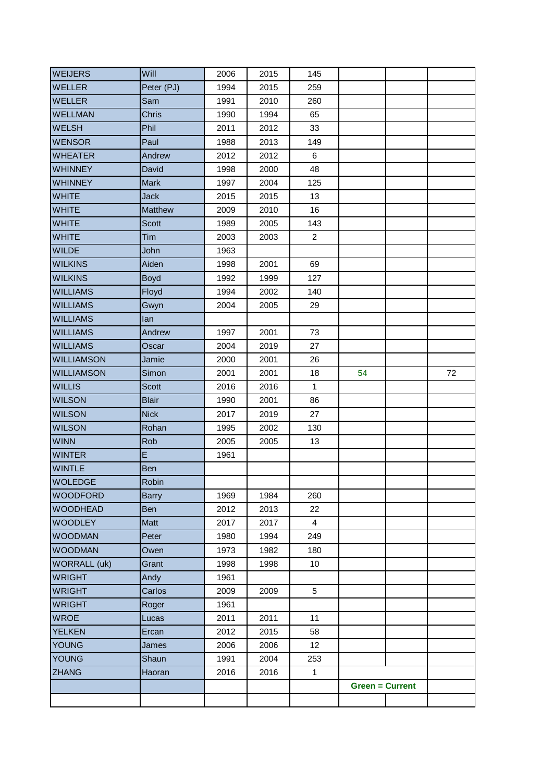| <b>WEIJERS</b>      | Will           | 2006 | 2015 | 145            |                        |    |
|---------------------|----------------|------|------|----------------|------------------------|----|
| <b>WELLER</b>       | Peter (PJ)     | 1994 | 2015 | 259            |                        |    |
| <b>WELLER</b>       | Sam            | 1991 | 2010 | 260            |                        |    |
| <b>WELLMAN</b>      | <b>Chris</b>   | 1990 | 1994 | 65             |                        |    |
| <b>WELSH</b>        | Phil           | 2011 | 2012 | 33             |                        |    |
| <b>WENSOR</b>       | Paul           | 1988 | 2013 | 149            |                        |    |
| <b>WHEATER</b>      | Andrew         | 2012 | 2012 | 6              |                        |    |
| <b>WHINNEY</b>      | David          | 1998 | 2000 | 48             |                        |    |
| <b>WHINNEY</b>      | <b>Mark</b>    | 1997 | 2004 | 125            |                        |    |
| <b>WHITE</b>        | <b>Jack</b>    | 2015 | 2015 | 13             |                        |    |
| <b>WHITE</b>        | <b>Matthew</b> | 2009 | 2010 | 16             |                        |    |
| <b>WHITE</b>        | <b>Scott</b>   | 1989 | 2005 | 143            |                        |    |
| <b>WHITE</b>        | Tim            | 2003 | 2003 | $\overline{2}$ |                        |    |
| <b>WILDE</b>        | John           | 1963 |      |                |                        |    |
| <b>WILKINS</b>      | Aiden          | 1998 | 2001 | 69             |                        |    |
| <b>WILKINS</b>      | <b>Boyd</b>    | 1992 | 1999 | 127            |                        |    |
| <b>WILLIAMS</b>     | Floyd          | 1994 | 2002 | 140            |                        |    |
| <b>WILLIAMS</b>     | Gwyn           | 2004 | 2005 | 29             |                        |    |
| <b>WILLIAMS</b>     | lan            |      |      |                |                        |    |
| <b>WILLIAMS</b>     | Andrew         | 1997 | 2001 | 73             |                        |    |
| <b>WILLIAMS</b>     | Oscar          | 2004 | 2019 | 27             |                        |    |
| <b>WILLIAMSON</b>   | Jamie          | 2000 | 2001 | 26             |                        |    |
| <b>WILLIAMSON</b>   | Simon          | 2001 | 2001 | 18             | 54                     | 72 |
| <b>WILLIS</b>       | <b>Scott</b>   | 2016 | 2016 | $\mathbf{1}$   |                        |    |
| <b>WILSON</b>       | <b>Blair</b>   | 1990 | 2001 | 86             |                        |    |
| <b>WILSON</b>       | <b>Nick</b>    | 2017 | 2019 | 27             |                        |    |
| <b>WILSON</b>       | Rohan          | 1995 | 2002 | 130            |                        |    |
| <b>WINN</b>         | Rob            | 2005 | 2005 | 13             |                        |    |
| <b>WINTER</b>       | E              | 1961 |      |                |                        |    |
| <b>WINTLE</b>       | Ben            |      |      |                |                        |    |
| <b>WOLEDGE</b>      | Robin          |      |      |                |                        |    |
| WOODFORD            | <b>Barry</b>   | 1969 | 1984 | 260            |                        |    |
| <b>WOODHEAD</b>     | Ben            | 2012 | 2013 | 22             |                        |    |
| <b>WOODLEY</b>      | Matt           | 2017 | 2017 | $\overline{4}$ |                        |    |
| <b>WOODMAN</b>      | Peter          | 1980 | 1994 | 249            |                        |    |
| <b>WOODMAN</b>      | Owen           | 1973 | 1982 | 180            |                        |    |
| <b>WORRALL (uk)</b> | Grant          | 1998 | 1998 | 10             |                        |    |
| <b>WRIGHT</b>       | Andy           | 1961 |      |                |                        |    |
| <b>WRIGHT</b>       | Carlos         | 2009 | 2009 | 5              |                        |    |
| <b>WRIGHT</b>       | Roger          | 1961 |      |                |                        |    |
| <b>WROE</b>         | Lucas          | 2011 | 2011 | 11             |                        |    |
| <b>YELKEN</b>       | Ercan          | 2012 | 2015 | 58             |                        |    |
| YOUNG               | James          | 2006 | 2006 | 12             |                        |    |
| <b>YOUNG</b>        | Shaun          | 1991 | 2004 | 253            |                        |    |
| <b>ZHANG</b>        | Haoran         | 2016 | 2016 | $\mathbf{1}$   |                        |    |
|                     |                |      |      |                | <b>Green = Current</b> |    |
|                     |                |      |      |                |                        |    |